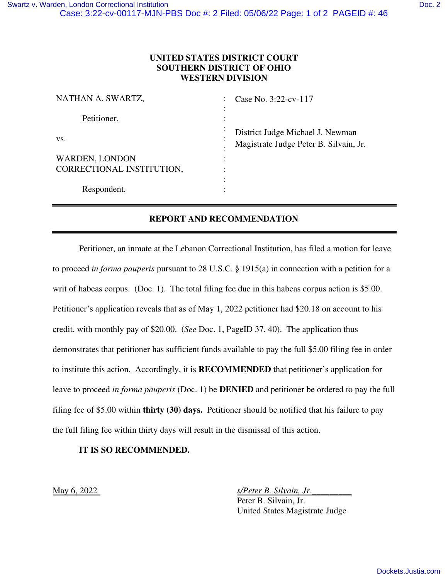## **UNITED STATES DISTRICT COURT SOUTHERN DISTRICT OF OHIO WESTERN DIVISION**

| NATHAN A. SWARTZ,         | Case No. 3:22-cv-117                   |
|---------------------------|----------------------------------------|
| Petitioner,               |                                        |
| VS.                       | District Judge Michael J. Newman       |
|                           | Magistrate Judge Peter B. Silvain, Jr. |
| WARDEN, LONDON            |                                        |
| CORRECTIONAL INSTITUTION, |                                        |
|                           |                                        |
| Respondent.               |                                        |

## **REPORT AND RECOMMENDATION**

 Petitioner, an inmate at the Lebanon Correctional Institution, has filed a motion for leave to proceed *in forma pauperis* pursuant to 28 U.S.C. § 1915(a) in connection with a petition for a writ of habeas corpus. (Doc. 1). The total filing fee due in this habeas corpus action is \$5.00. Petitioner's application reveals that as of May 1, 2022 petitioner had \$20.18 on account to his credit, with monthly pay of \$20.00. (*See* Doc. 1, PageID 37, 40). The application thus demonstrates that petitioner has sufficient funds available to pay the full \$5.00 filing fee in order to institute this action. Accordingly, it is **RECOMMENDED** that petitioner's application for leave to proceed *in forma pauperis* (Doc. 1) be **DENIED** and petitioner be ordered to pay the full filing fee of \$5.00 within **thirty (30) days.** Petitioner should be notified that his failure to pay the full filing fee within thirty days will result in the dismissal of this action.

## **IT IS SO RECOMMENDED.**

May 6, 2022 *s/Peter B. Silvain, Jr*.\_\_\_\_\_\_\_\_\_

 Peter B. Silvain, Jr. United States Magistrate Judge